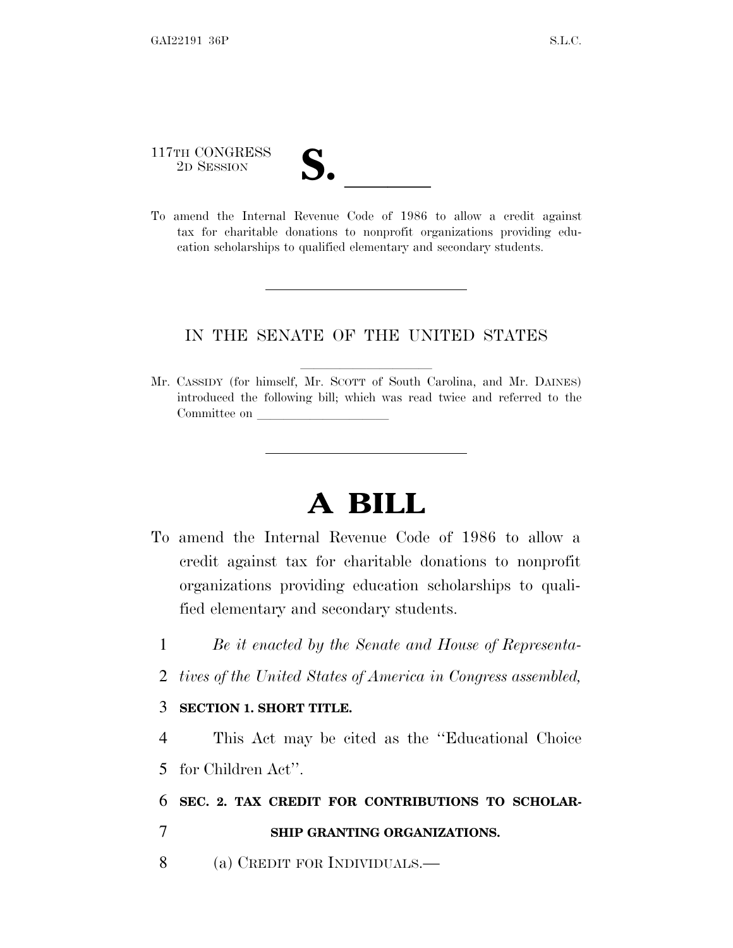# 117TH CONGRESS 117TH CONGRESS<br>
2D SESSION<br>
To amend the Internal Revenue Code of 1986 to allow a credit against

tax for charitable donations to nonprofit organizations providing education scholarships to qualified elementary and secondary students.

#### IN THE SENATE OF THE UNITED STATES

Mr. CASSIDY (for himself, Mr. SCOTT of South Carolina, and Mr. DAINES) introduced the following bill; which was read twice and referred to the Committee on

# **A BILL**

- To amend the Internal Revenue Code of 1986 to allow a credit against tax for charitable donations to nonprofit organizations providing education scholarships to qualified elementary and secondary students.
	- 1 *Be it enacted by the Senate and House of Representa-*
	- 2 *tives of the United States of America in Congress assembled,*

#### 3 **SECTION 1. SHORT TITLE.**

4 This Act may be cited as the ''Educational Choice 5 for Children Act''.

6 **SEC. 2. TAX CREDIT FOR CONTRIBUTIONS TO SCHOLAR-**

#### 7 **SHIP GRANTING ORGANIZATIONS.**

8 (a) CREDIT FOR INDIVIDUALS.—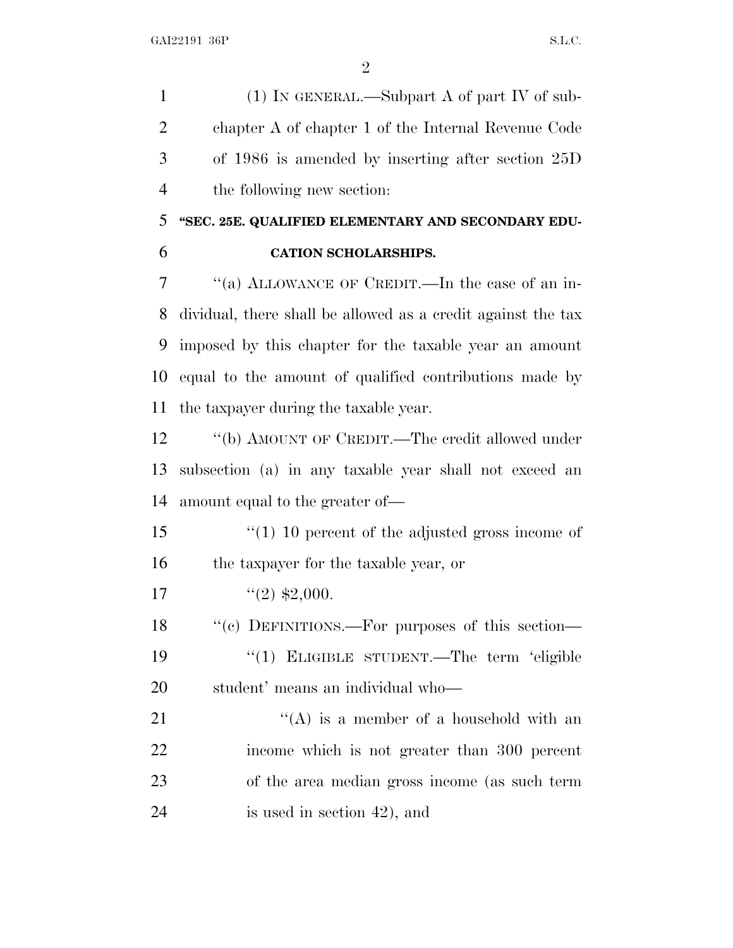(1) IN GENERAL.—Subpart A of part IV of sub- chapter A of chapter 1 of the Internal Revenue Code of 1986 is amended by inserting after section 25D the following new section:

## **''SEC. 25E. QUALIFIED ELEMENTARY AND SECONDARY EDU-**

#### **CATION SCHOLARSHIPS.**

 ''(a) ALLOWANCE OF CREDIT.—In the case of an in- dividual, there shall be allowed as a credit against the tax imposed by this chapter for the taxable year an amount equal to the amount of qualified contributions made by the taxpayer during the taxable year.

12 "(b) AMOUNT OF CREDIT.—The credit allowed under subsection (a) in any taxable year shall not exceed an amount equal to the greater of—

 ''(1) 10 percent of the adjusted gross income of the taxpayer for the taxable year, or

17  $\frac{1}{2}$   $\frac{1}{2}$ ,000.

18 "(c) DEFINITIONS.—For purposes of this section— ''(1) ELIGIBLE STUDENT.—The term 'eligible student' means an individual who—

 $\langle (A)$  is a member of a household with an income which is not greater than 300 percent of the area median gross income (as such term is used in section 42), and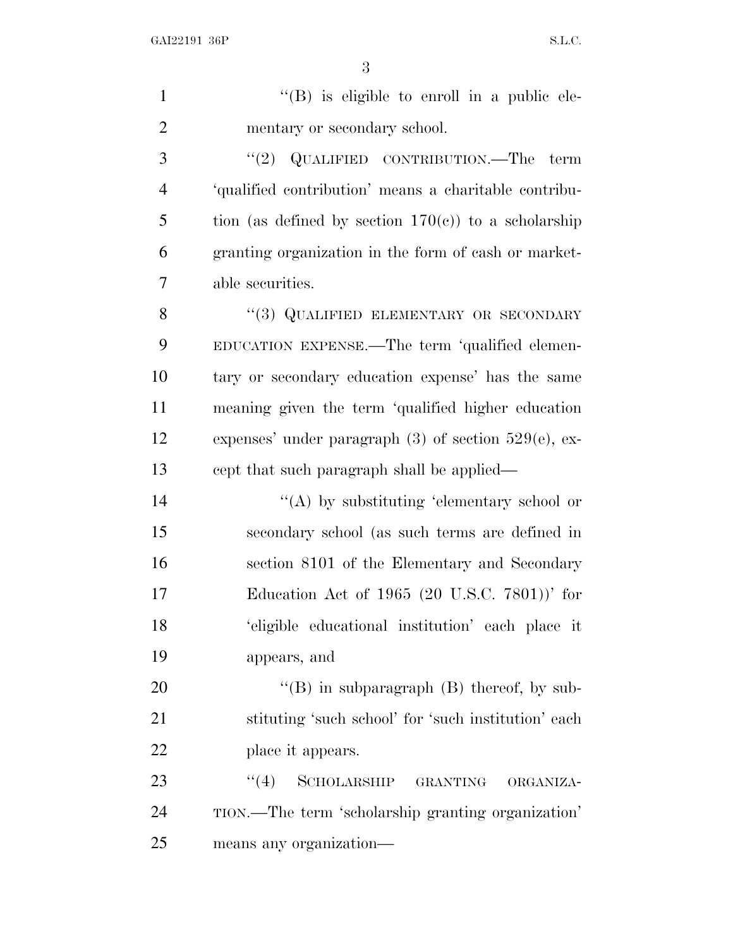$''(B)$  is eligible to enroll in a public ele-2 mentary or secondary school. ''(2) QUALIFIED CONTRIBUTION.—The term 'qualified contribution' means a charitable contribu-5 tion (as defined by section  $170(e)$ ) to a scholarship granting organization in the form of cash or market- able securities. 8 "(3) QUALIFIED ELEMENTARY OR SECONDARY EDUCATION EXPENSE.—The term 'qualified elemen- tary or secondary education expense' has the same meaning given the term 'qualified higher education expenses' under paragraph (3) of section 529(e), ex- cept that such paragraph shall be applied—  $\langle A \rangle$  by substituting 'elementary school or secondary school (as such terms are defined in section 8101 of the Elementary and Secondary Education Act of 1965 (20 U.S.C. 7801))' for 'eligible educational institution' each place it appears, and  $"$ (B) in subparagraph (B) thereof, by sub- stituting 'such school' for 'such institution' each 22 place it appears. 23 "(4) SCHOLARSHIP GRANTING ORGANIZA-

 TION.—The term 'scholarship granting organization' means any organization—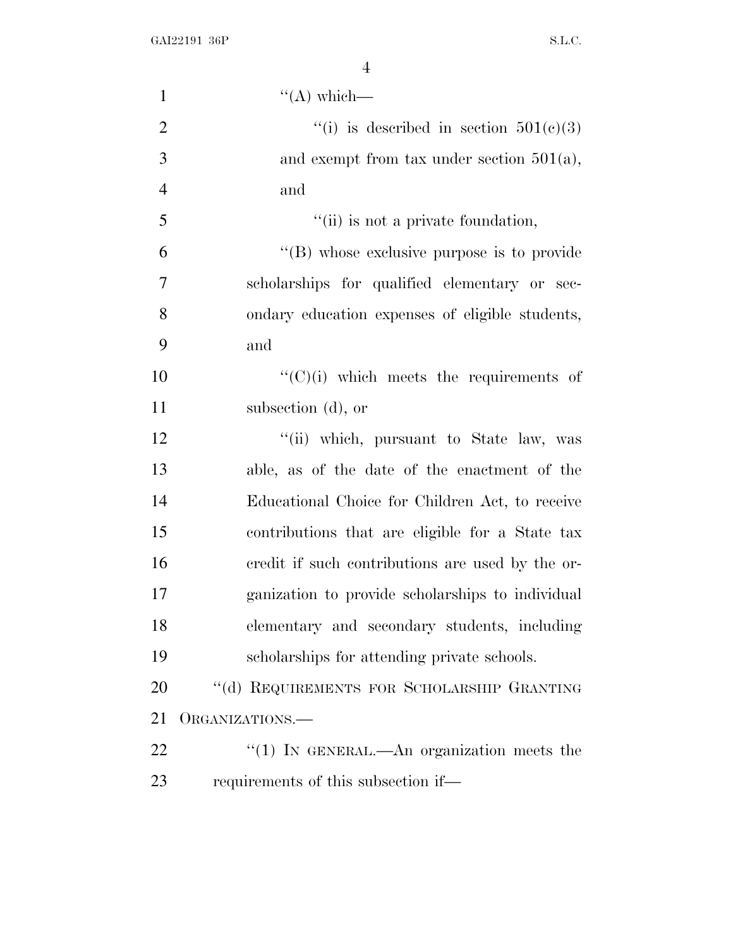| $\mathbf{1}$   | $\lq\lq$ which—                                  |
|----------------|--------------------------------------------------|
| $\overline{2}$ | "(i) is described in section $501(c)(3)$         |
| 3              | and exempt from tax under section $501(a)$ ,     |
| $\overline{4}$ | and                                              |
| 5              | "(ii) is not a private foundation,               |
| 6              | "(B) whose exclusive purpose is to provide       |
| $\tau$         | scholarships for qualified elementary or sec-    |
| 8              | ondary education expenses of eligible students,  |
| 9              | and                                              |
| 10             | $\lq\lq$ (C)(i) which meets the requirements of  |
| 11             | subsection (d), or                               |
| 12             | "(ii) which, pursuant to State law, was          |
| 13             | able, as of the date of the enactment of the     |
| 14             | Educational Choice for Children Act, to receive  |
| 15             | contributions that are eligible for a State tax  |
| 16             | credit if such contributions are used by the or- |
| 17             | ganization to provide scholarships to individual |
| 18             | elementary and secondary students, including     |
| 19             | scholarships for attending private schools.      |
| 20             | "(d) REQUIREMENTS FOR SCHOLARSHIP GRANTING       |
| 21             | ORGANIZATIONS.-                                  |
| 22             | "(1) IN GENERAL.—An organization meets the       |
| 23             | requirements of this subsection if—              |
|                |                                                  |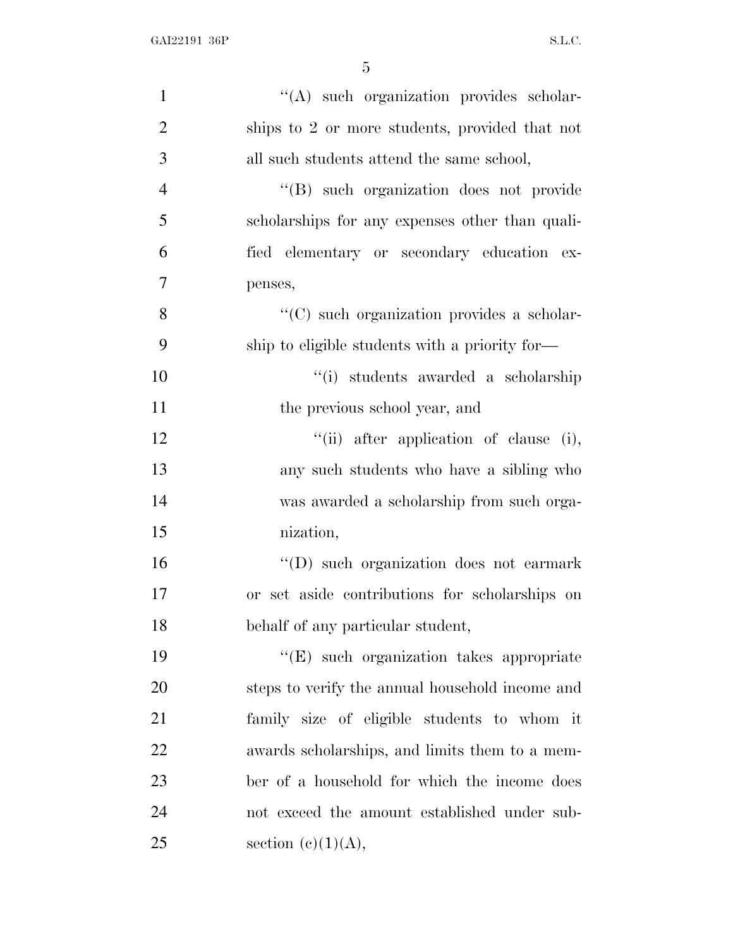| $\mathbf{1}$   | "(A) such organization provides scholar-        |
|----------------|-------------------------------------------------|
| $\overline{2}$ | ships to 2 or more students, provided that not  |
| 3              | all such students attend the same school,       |
| $\overline{4}$ | "(B) such organization does not provide         |
| 5              | scholarships for any expenses other than quali- |
| 6              | fied elementary or secondary education ex-      |
| 7              | penses,                                         |
| 8              | "(C) such organization provides a scholar-      |
| 9              | ship to eligible students with a priority for—  |
| 10             | "(i) students awarded a scholarship             |
| 11             | the previous school year, and                   |
| 12             | "(ii) after application of clause (i),          |
| 13             | any such students who have a sibling who        |
| 14             | was awarded a scholarship from such orga-       |
| 15             | nization,                                       |
| 16             | "(D) such organization does not earmark         |
| 17             | or set aside contributions for scholarships on  |
| 18             | behalf of any particular student,               |
| 19             | "(E) such organization takes appropriate        |
| 20             | steps to verify the annual household income and |
| 21             | family size of eligible students to whom it     |
| 22             | awards scholarships, and limits them to a mem-  |
| 23             | ber of a household for which the income does    |
| 24             | not exceed the amount established under sub-    |
| 25             | section $(c)(1)(A)$ ,                           |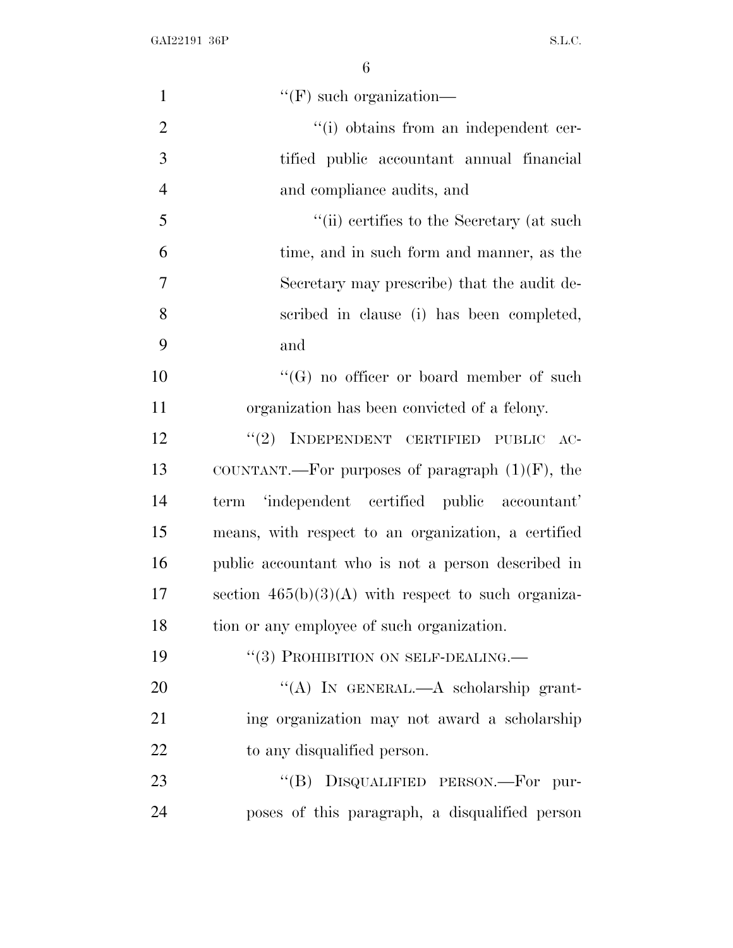| $\mathbf{1}$   | $\lq\lq(F)$ such organization—                        |
|----------------|-------------------------------------------------------|
| $\overline{2}$ | "(i) obtains from an independent cer-                 |
| 3              | tified public accountant annual financial             |
| $\overline{4}$ | and compliance audits, and                            |
| 5              | "(ii) certifies to the Secretary (at such             |
| 6              | time, and in such form and manner, as the             |
| 7              | Secretary may prescribe) that the audit de-           |
| 8              | scribed in clause (i) has been completed,             |
| 9              | and                                                   |
| 10             | " $(G)$ no officer or board member of such            |
| 11             | organization has been convicted of a felony.          |
| 12             | "(2) INDEPENDENT CERTIFIED PUBLIC AC-                 |
| 13             | COUNTANT.—For purposes of paragraph $(1)(F)$ , the    |
| 14             | 'independent certified public accountant'<br>term     |
| 15             | means, with respect to an organization, a certified   |
| 16             | public accountant who is not a person described in    |
| 17             | section $465(b)(3)(A)$ with respect to such organiza- |
| 18             | tion or any employee of such organization.            |
| 19             | "(3) PROHIBITION ON SELF-DEALING.—                    |
| 20             | "(A) IN GENERAL.—A scholarship grant-                 |
| 21             | ing organization may not award a scholarship          |
| 22             | to any disqualified person.                           |
| 23             | "(B) DISQUALIFIED PERSON.—For pur-                    |
| 24             | poses of this paragraph, a disqualified person        |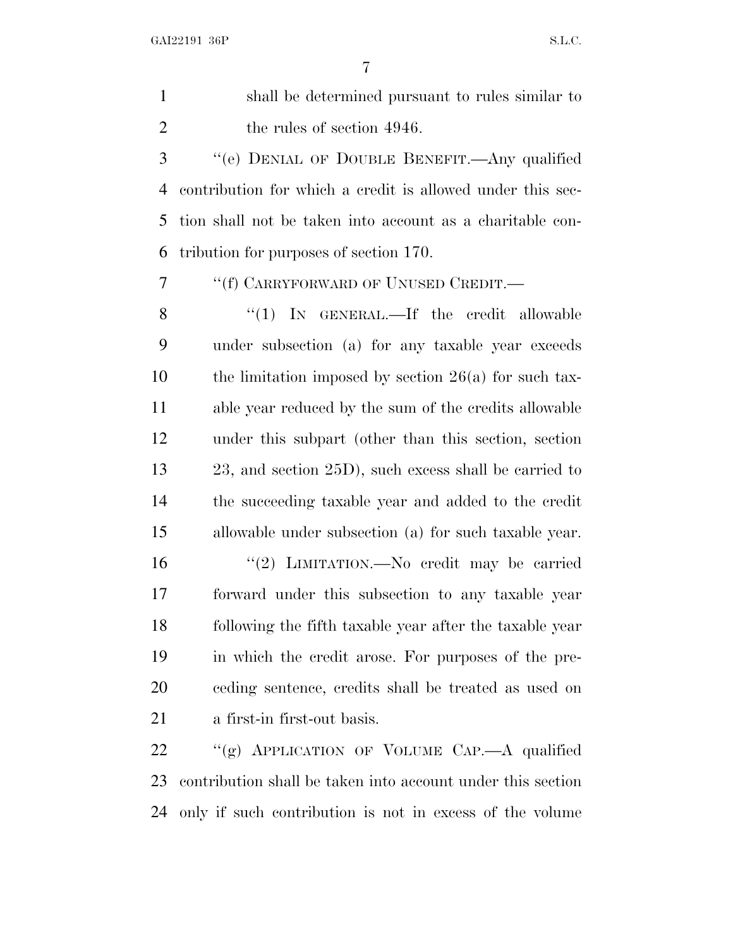shall be determined pursuant to rules similar to 2 the rules of section 4946. ''(e) DENIAL OF DOUBLE BENEFIT.—Any qualified contribution for which a credit is allowed under this sec- tion shall not be taken into account as a charitable con- tribution for purposes of section 170. ''(f) CARRYFORWARD OF UNUSED CREDIT.— 8 "(1) IN GENERAL.—If the credit allowable under subsection (a) for any taxable year exceeds 10 the limitation imposed by section  $26(a)$  for such tax- able year reduced by the sum of the credits allowable under this subpart (other than this section, section 23, and section 25D), such excess shall be carried to the succeeding taxable year and added to the credit allowable under subsection (a) for such taxable year. ''(2) LIMITATION.—No credit may be carried forward under this subsection to any taxable year following the fifth taxable year after the taxable year in which the credit arose. For purposes of the pre- ceding sentence, credits shall be treated as used on a first-in first-out basis. ''(g) APPLICATION OF VOLUME CAP.—A qualified

 contribution shall be taken into account under this section only if such contribution is not in excess of the volume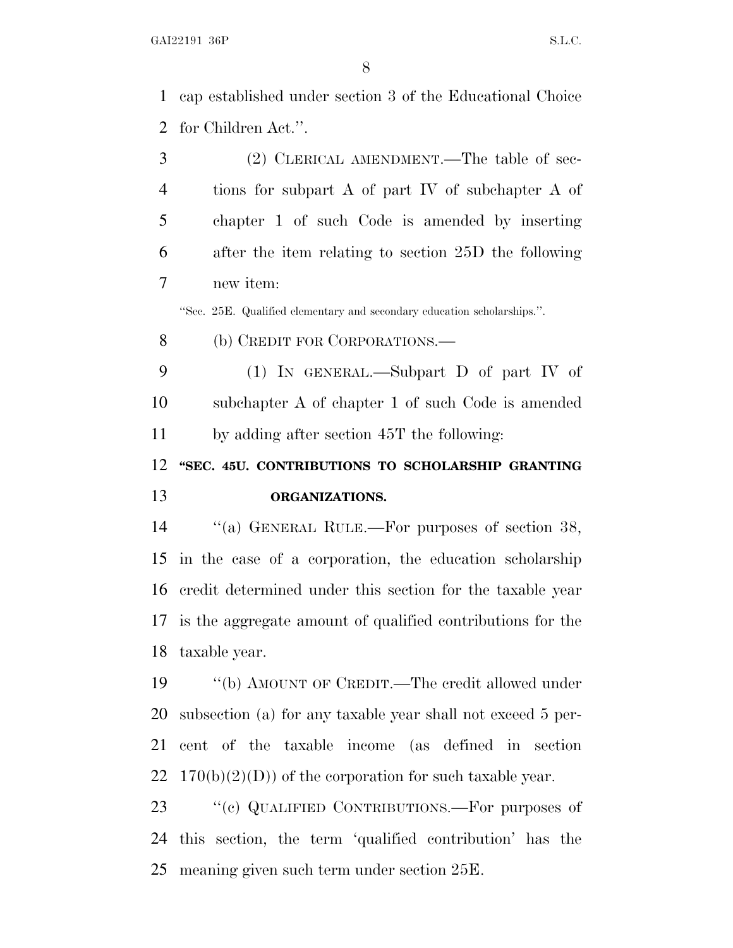cap established under section 3 of the Educational Choice for Children Act.''.

 (2) CLERICAL AMENDMENT.—The table of sec- tions for subpart A of part IV of subchapter A of chapter 1 of such Code is amended by inserting after the item relating to section 25D the following new item: ''Sec. 25E. Qualified elementary and secondary education scholarships.''. 8 (b) CREDIT FOR CORPORATIONS.— (1) IN GENERAL.—Subpart D of part IV of subchapter A of chapter 1 of such Code is amended by adding after section 45T the following: **''SEC. 45U. CONTRIBUTIONS TO SCHOLARSHIP GRANTING ORGANIZATIONS.** ''(a) GENERAL RULE.—For purposes of section 38, in the case of a corporation, the education scholarship credit determined under this section for the taxable year is the aggregate amount of qualified contributions for the taxable year. ''(b) AMOUNT OF CREDIT.—The credit allowed under subsection (a) for any taxable year shall not exceed 5 per-cent of the taxable income (as defined in section

22  $170(b)(2)(D)$  of the corporation for such taxable year.

23 " (c) QUALIFIED CONTRIBUTIONS.—For purposes of this section, the term 'qualified contribution' has the meaning given such term under section 25E.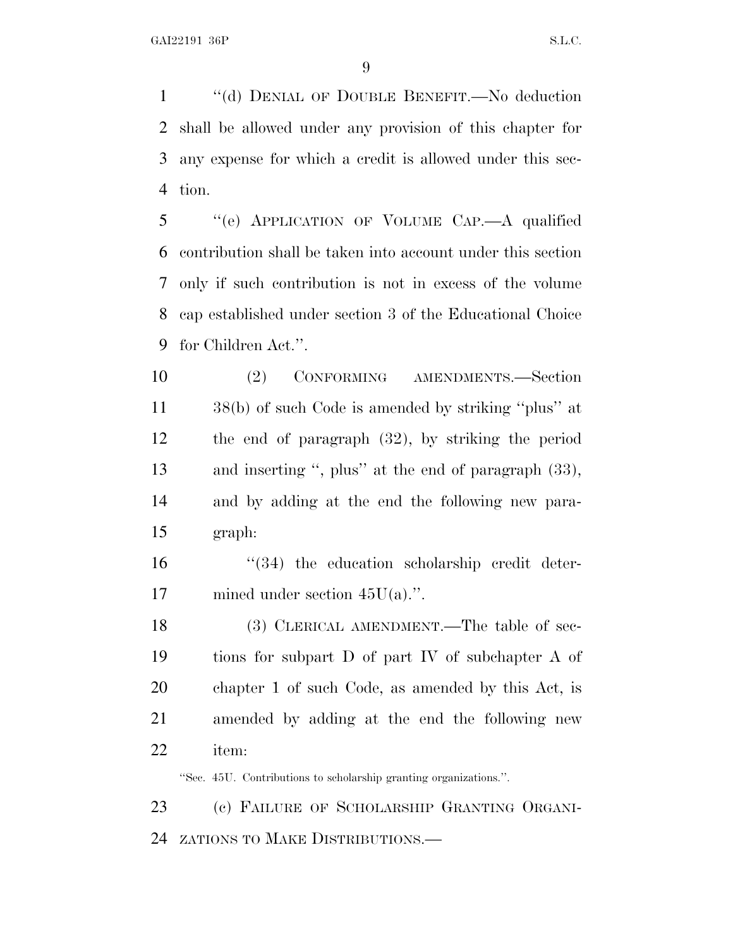''(d) DENIAL OF DOUBLE BENEFIT.—No deduction shall be allowed under any provision of this chapter for any expense for which a credit is allowed under this sec-tion.

 ''(e) APPLICATION OF VOLUME CAP.—A qualified contribution shall be taken into account under this section only if such contribution is not in excess of the volume cap established under section 3 of the Educational Choice for Children Act.''.

 (2) CONFORMING AMENDMENTS.—Section 38(b) of such Code is amended by striking ''plus'' at the end of paragraph (32), by striking the period and inserting '', plus'' at the end of paragraph (33), and by adding at the end the following new para-graph:

16  $\frac{16}{34}$  the education scholarship credit deter-17 mined under section  $45U(a)$ .".

18 (3) CLERICAL AMENDMENT.—The table of sec- tions for subpart D of part IV of subchapter A of chapter 1 of such Code, as amended by this Act, is amended by adding at the end the following new item:

''Sec. 45U. Contributions to scholarship granting organizations.''.

 (c) FAILURE OF SCHOLARSHIP GRANTING ORGANI-ZATIONS TO MAKE DISTRIBUTIONS.—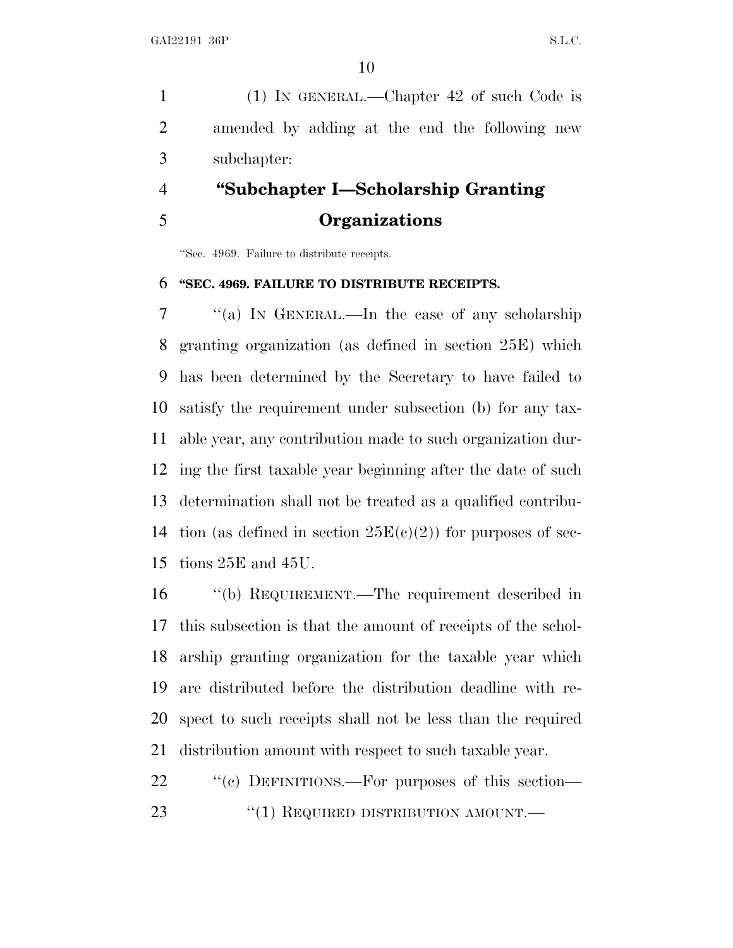(1) IN GENERAL.—Chapter 42 of such Code is amended by adding at the end the following new subchapter:

### **''Subchapter I—Scholarship Granting Organizations**

''Sec. 4969. Failure to distribute receipts.

#### **''SEC. 4969. FAILURE TO DISTRIBUTE RECEIPTS.**

 ''(a) I<sup>N</sup> GENERAL.—In the case of any scholarship granting organization (as defined in section 25E) which has been determined by the Secretary to have failed to satisfy the requirement under subsection (b) for any tax- able year, any contribution made to such organization dur- ing the first taxable year beginning after the date of such determination shall not be treated as a qualified contribu-14 tion (as defined in section  $25E(c)(2)$ ) for purposes of sec-tions 25E and 45U.

 ''(b) REQUIREMENT.—The requirement described in this subsection is that the amount of receipts of the schol- arship granting organization for the taxable year which are distributed before the distribution deadline with re- spect to such receipts shall not be less than the required distribution amount with respect to such taxable year.

22 " (c) DEFINITIONS.—For purposes of this section— 23 "(1) REQUIRED DISTRIBUTION AMOUNT.—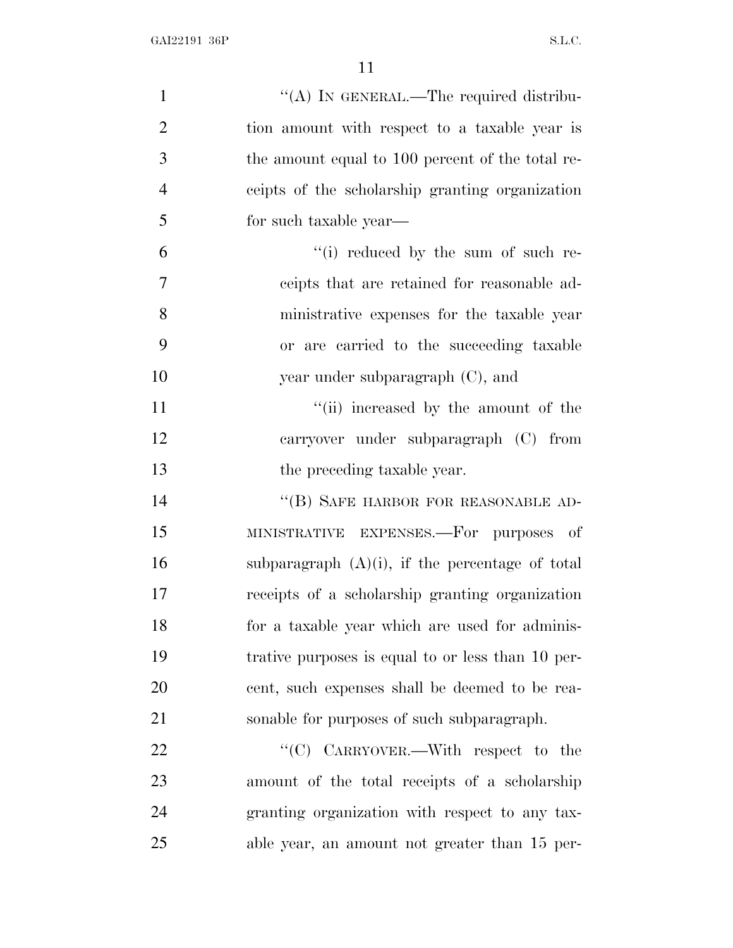| $\mathbf{1}$   | "(A) IN GENERAL.—The required distribu-            |
|----------------|----------------------------------------------------|
| $\overline{2}$ | tion amount with respect to a taxable year is      |
| 3              | the amount equal to 100 percent of the total re-   |
| $\overline{4}$ | ceipts of the scholarship granting organization    |
| 5              | for such taxable year—                             |
| 6              | "(i) reduced by the sum of such re-                |
| 7              | ceipts that are retained for reasonable ad-        |
| 8              | ministrative expenses for the taxable year         |
| 9              | or are carried to the succeeding taxable           |
| 10             | year under subparagraph $(C)$ , and                |
| 11             | "(ii) increased by the amount of the               |
| 12             | carryover under subparagraph (C) from              |
| 13             | the preceding taxable year.                        |
| 14             | "(B) SAFE HARBOR FOR REASONABLE AD-                |
| 15             | MINISTRATIVE EXPENSES.—For purposes of             |
| 16             | subparagraph $(A)(i)$ , if the percentage of total |
| 17             | receipts of a scholarship granting organization    |
| 18             | for a taxable year which are used for adminis-     |
| 19             | trative purposes is equal to or less than 10 per-  |
| 20             | cent, such expenses shall be deemed to be rea-     |
| 21             | sonable for purposes of such subparagraph.         |
| 22             | "(C) CARRYOVER.—With respect to the                |
| 23             | amount of the total receipts of a scholarship      |
| 24             | granting organization with respect to any tax-     |
| 25             | able year, an amount not greater than 15 per-      |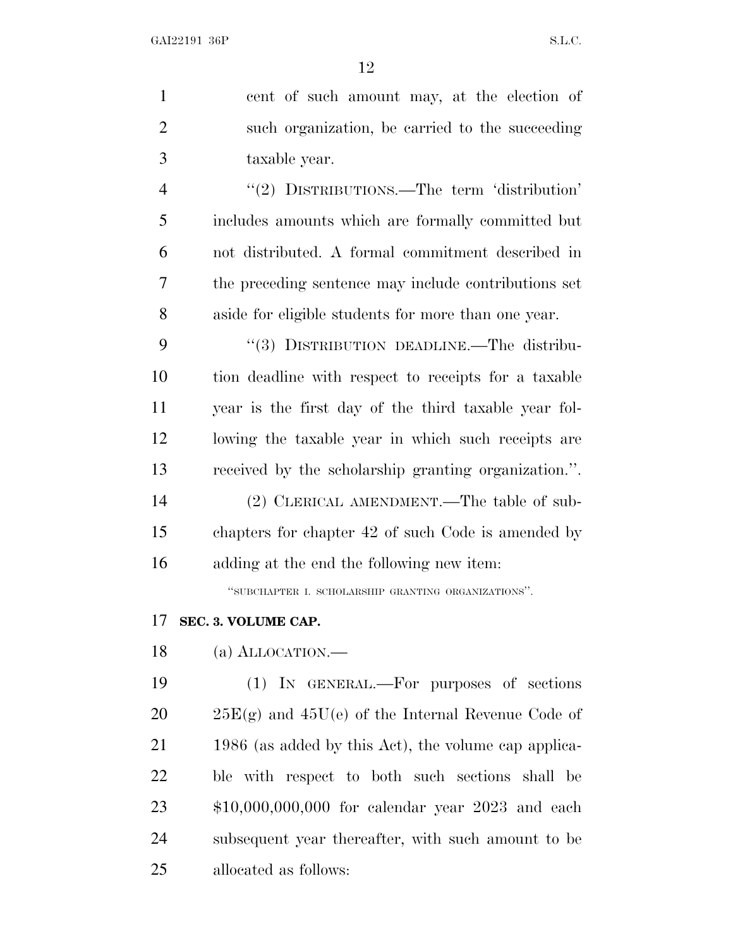| $\mathbf{1}$   | cent of such amount may, at the election of           |
|----------------|-------------------------------------------------------|
| $\overline{2}$ | such organization, be carried to the succeeding       |
| 3              | taxable year.                                         |
| $\overline{4}$ | "(2) DISTRIBUTIONS.—The term 'distribution'           |
| 5              | includes amounts which are formally committed but     |
| 6              | not distributed. A formal commitment described in     |
| 7              | the preceding sentence may include contributions set  |
| 8              | aside for eligible students for more than one year.   |
| 9              | "(3) DISTRIBUTION DEADLINE.—The distribu-             |
| 10             | tion deadline with respect to receipts for a taxable  |
| 11             | year is the first day of the third taxable year fol-  |
| 12             | lowing the taxable year in which such receipts are    |
| 13             | received by the scholarship granting organization.".  |
| 14             | (2) CLERICAL AMENDMENT.—The table of sub-             |
| 15             | chapters for chapter 42 of such Code is amended by    |
| 16             | adding at the end the following new item:             |
|                | "SUBCHAPTER I. SCHOLARSHIP GRANTING ORGANIZATIONS".   |
| 17             | SEC. 3. VOLUME CAP.                                   |
| 18             | $(a)$ ALLOCATION.—                                    |
| 19             | (1) IN GENERAL.—For purposes of sections              |
| 20             | $25E(g)$ and $45U(e)$ of the Internal Revenue Code of |
| 21             | 1986 (as added by this Act), the volume cap applica-  |
| 22             | ble with respect to both such sections shall be       |
| 23             | $$10,000,000,000$ for calendar year 2023 and each     |
| 24             | subsequent year thereafter, with such amount to be    |
| 25             | allocated as follows:                                 |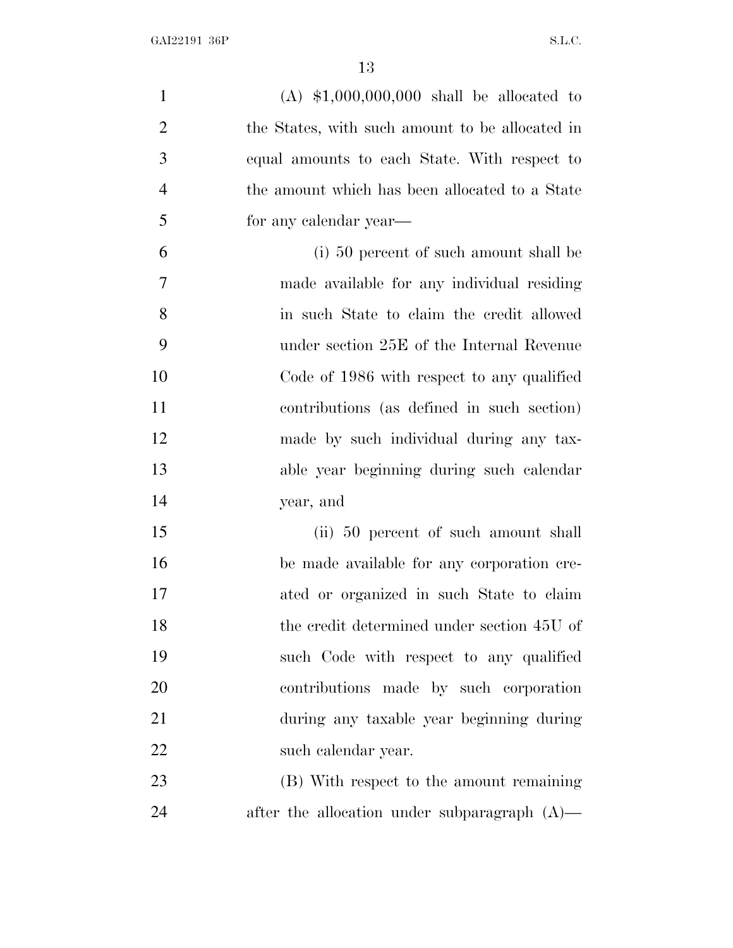(A) \$1,000,000,000 shall be allocated to the States, with such amount to be allocated in equal amounts to each State. With respect to the amount which has been allocated to a State for any calendar year— (i) 50 percent of such amount shall be made available for any individual residing in such State to claim the credit allowed under section 25E of the Internal Revenue Code of 1986 with respect to any qualified contributions (as defined in such section) made by such individual during any tax- able year beginning during such calendar year, and (ii) 50 percent of such amount shall be made available for any corporation cre- ated or organized in such State to claim the credit determined under section 45U of such Code with respect to any qualified contributions made by such corporation during any taxable year beginning during such calendar year. (B) With respect to the amount remaining after the allocation under subparagraph (A)—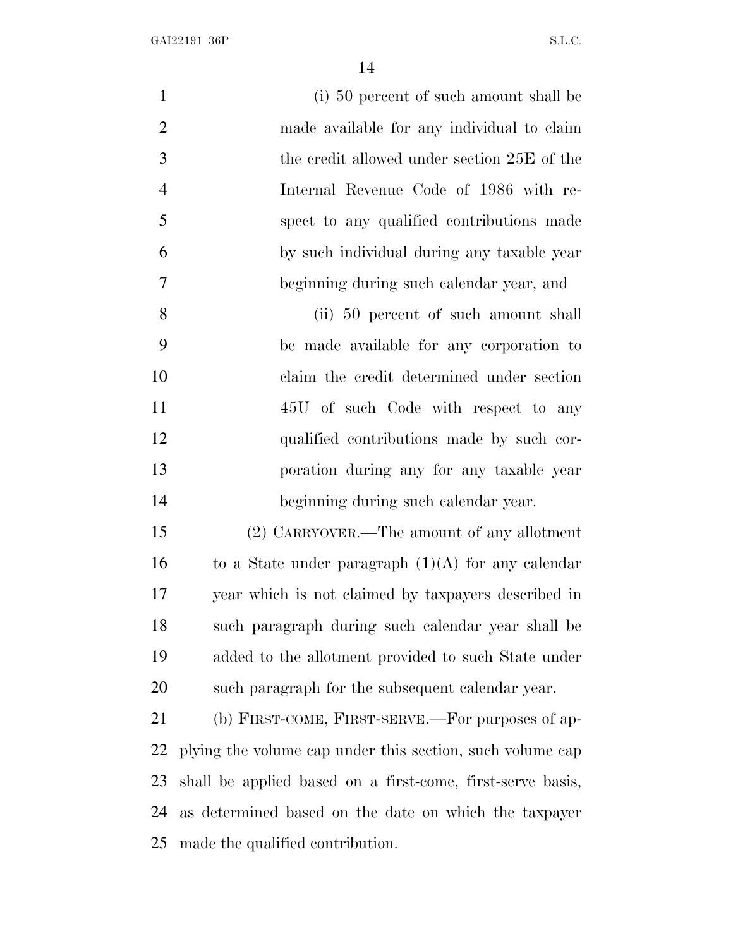(i) 50 percent of such amount shall be made available for any individual to claim the credit allowed under section 25E of the Internal Revenue Code of 1986 with re- spect to any qualified contributions made by such individual during any taxable year beginning during such calendar year, and (ii) 50 percent of such amount shall be made available for any corporation to claim the credit determined under section 45U of such Code with respect to any qualified contributions made by such cor- poration during any for any taxable year beginning during such calendar year. (2) CARRYOVER.—The amount of any allotment 16 to a State under paragraph  $(1)(A)$  for any calendar year which is not claimed by taxpayers described in such paragraph during such calendar year shall be added to the allotment provided to such State under such paragraph for the subsequent calendar year. (b) FIRST-COME, FIRST-SERVE.—For purposes of ap- plying the volume cap under this section, such volume cap shall be applied based on a first-come, first-serve basis, as determined based on the date on which the taxpayer

made the qualified contribution.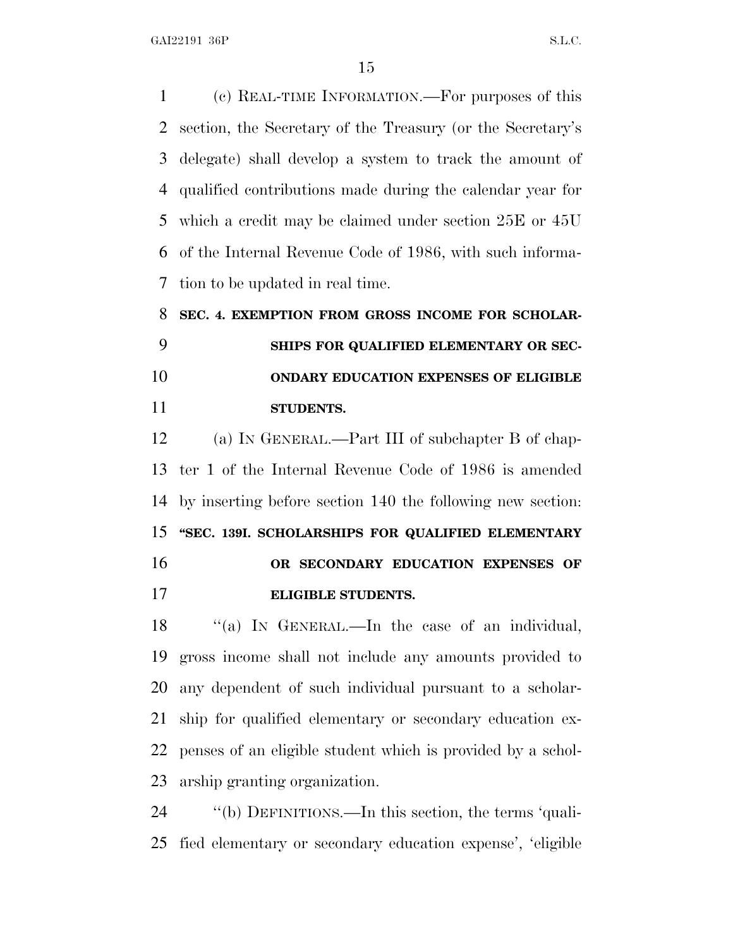(c) REAL-TIME INFORMATION.—For purposes of this section, the Secretary of the Treasury (or the Secretary's delegate) shall develop a system to track the amount of qualified contributions made during the calendar year for which a credit may be claimed under section 25E or 45U of the Internal Revenue Code of 1986, with such informa-tion to be updated in real time.

### **SEC. 4. EXEMPTION FROM GROSS INCOME FOR SCHOLAR- SHIPS FOR QUALIFIED ELEMENTARY OR SEC- ONDARY EDUCATION EXPENSES OF ELIGIBLE STUDENTS.**

 (a) I<sup>N</sup> GENERAL.—Part III of subchapter B of chap- ter 1 of the Internal Revenue Code of 1986 is amended by inserting before section 140 the following new section: **''SEC. 139I. SCHOLARSHIPS FOR QUALIFIED ELEMENTARY OR SECONDARY EDUCATION EXPENSES OF**

**ELIGIBLE STUDENTS.**

18 "(a) IN GENERAL.—In the case of an individual, gross income shall not include any amounts provided to any dependent of such individual pursuant to a scholar- ship for qualified elementary or secondary education ex- penses of an eligible student which is provided by a schol-arship granting organization.

 ''(b) DEFINITIONS.—In this section, the terms 'quali-fied elementary or secondary education expense', 'eligible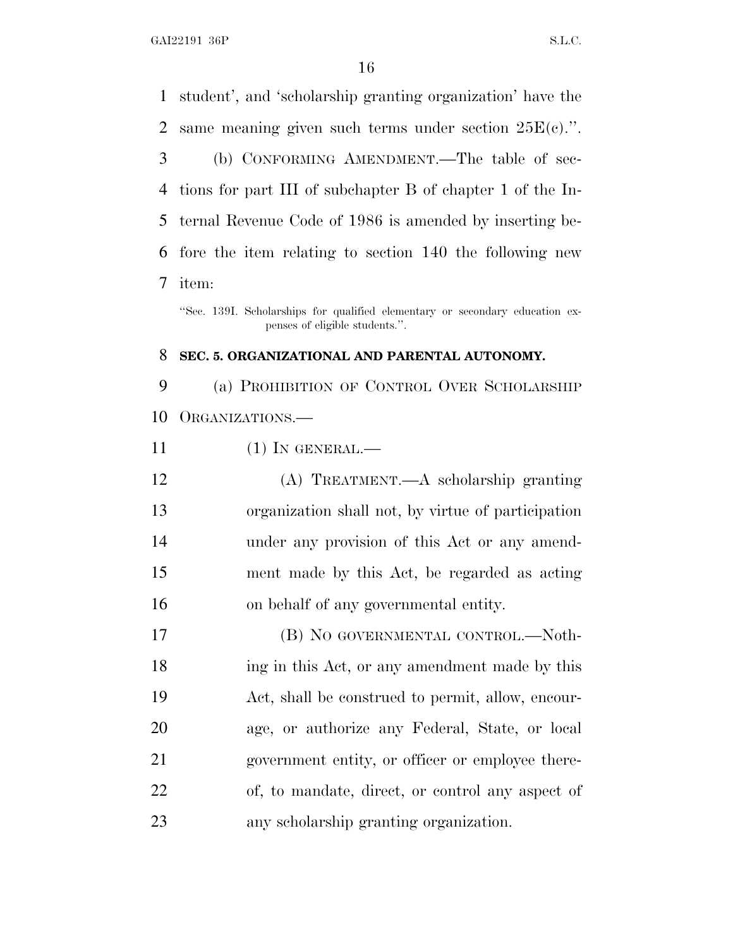student', and 'scholarship granting organization' have the same meaning given such terms under section 25E(c).''. (b) CONFORMING AMENDMENT.—The table of sec- tions for part III of subchapter B of chapter 1 of the In- ternal Revenue Code of 1986 is amended by inserting be- fore the item relating to section 140 the following new item: ''Sec. 139I. Scholarships for qualified elementary or secondary education expenses of eligible students.''. **SEC. 5. ORGANIZATIONAL AND PARENTAL AUTONOMY.** (a) PROHIBITION OF CONTROL OVER SCHOLARSHIP ORGANIZATIONS.— (1) IN GENERAL.— (A) TREATMENT.—A scholarship granting organization shall not, by virtue of participation

 under any provision of this Act or any amend- ment made by this Act, be regarded as acting on behalf of any governmental entity.

 (B) NO GOVERNMENTAL CONTROL.—Noth-18 ing in this Act, or any amendment made by this Act, shall be construed to permit, allow, encour- age, or authorize any Federal, State, or local government entity, or officer or employee there- of, to mandate, direct, or control any aspect of any scholarship granting organization.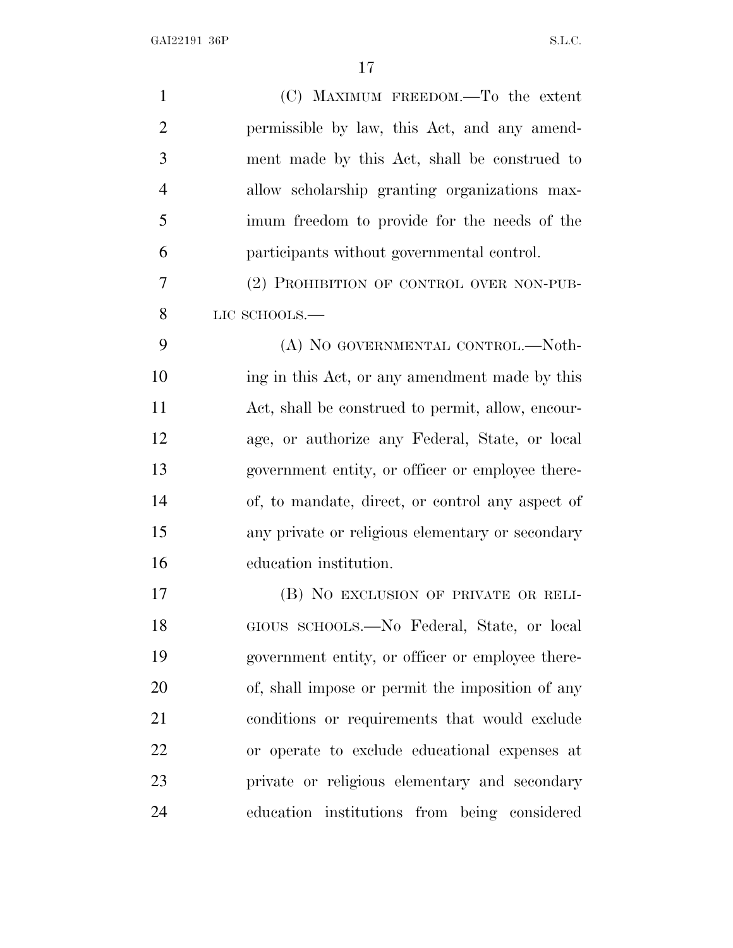| $\mathbf{1}$   | (C) MAXIMUM FREEDOM.—To the extent                |
|----------------|---------------------------------------------------|
| $\overline{2}$ | permissible by law, this Act, and any amend-      |
| 3              | ment made by this Act, shall be construed to      |
| $\overline{4}$ | allow scholarship granting organizations max-     |
| 5              | imum freedom to provide for the needs of the      |
| 6              | participants without governmental control.        |
| 7              | (2) PROHIBITION OF CONTROL OVER NON-PUB-          |
| 8              | LIC SCHOOLS.-                                     |
| 9              | (A) NO GOVERNMENTAL CONTROL.-Noth-                |
| 10             | ing in this Act, or any amendment made by this    |
| 11             | Act, shall be construed to permit, allow, encour- |
| 12             | age, or authorize any Federal, State, or local    |
| 13             | government entity, or officer or employee there-  |
| 14             | of, to mandate, direct, or control any aspect of  |
| 15             | any private or religious elementary or secondary  |
| 16             | education institution.                            |
| 17             | (B) NO EXCLUSION OF PRIVATE OR RELI-              |
| 18             | GIOUS SCHOOLS.-No Federal, State, or local        |
| 19             | government entity, or officer or employee there-  |
| 20             | of, shall impose or permit the imposition of any  |
| 21             | conditions or requirements that would exclude     |
| 22             | or operate to exclude educational expenses at     |
| 23             | private or religious elementary and secondary     |
| 24             | education institutions from being considered      |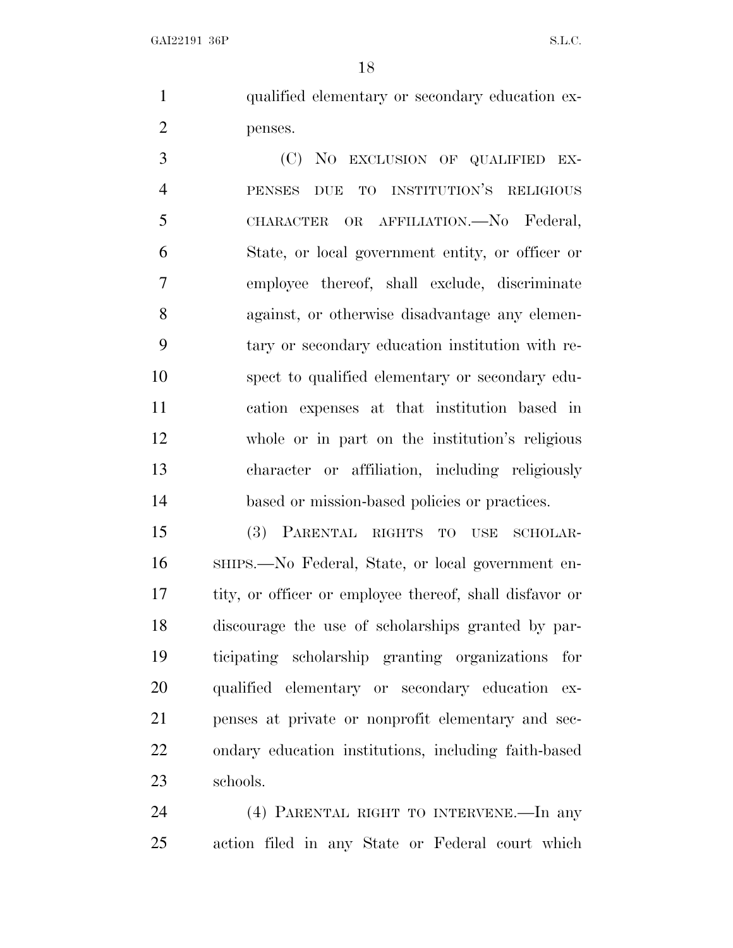qualified elementary or secondary education ex-penses.

 (C) NO EXCLUSION OF QUALIFIED EX- PENSES DUE TO INSTITUTION'S RELIGIOUS CHARACTER OR AFFILIATION.—No Federal, State, or local government entity, or officer or employee thereof, shall exclude, discriminate against, or otherwise disadvantage any elemen- tary or secondary education institution with re- spect to qualified elementary or secondary edu- cation expenses at that institution based in whole or in part on the institution's religious character or affiliation, including religiously based or mission-based policies or practices.

 (3) PARENTAL RIGHTS TO USE SCHOLAR- SHIPS.—No Federal, State, or local government en- tity, or officer or employee thereof, shall disfavor or discourage the use of scholarships granted by par- ticipating scholarship granting organizations for qualified elementary or secondary education ex- penses at private or nonprofit elementary and sec- ondary education institutions, including faith-based schools.

 (4) PARENTAL RIGHT TO INTERVENE.—In any action filed in any State or Federal court which